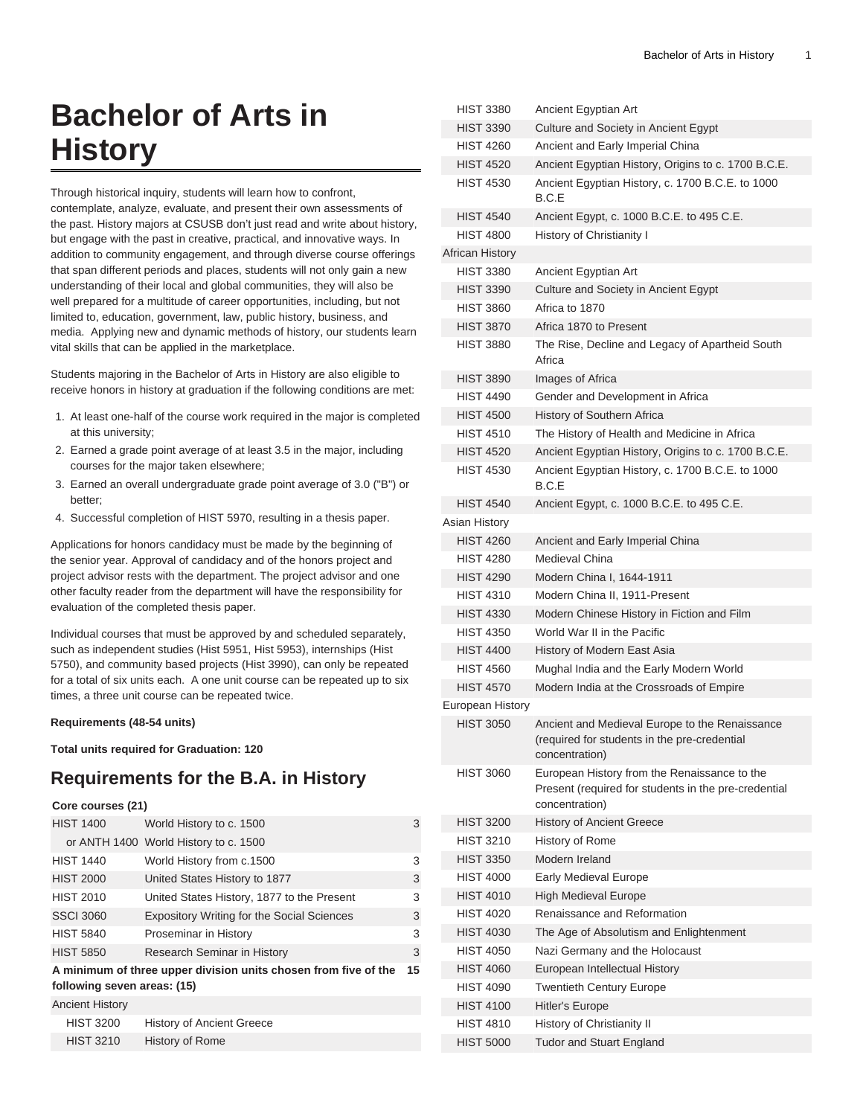# **Bachelor of Arts in History**

Through historical inquiry, students will learn how to confront, contemplate, analyze, evaluate, and present their own assessments of the past. History majors at CSUSB don't just read and write about history, but engage with the past in creative, practical, and innovative ways. In addition to community engagement, and through diverse course offerings that span different periods and places, students will not only gain a new understanding of their local and global communities, they will also be well prepared for a multitude of career opportunities, including, but not limited to, education, government, law, public history, business, and media. Applying new and dynamic methods of history, our students learn vital skills that can be applied in the marketplace.

Students majoring in the Bachelor of Arts in History are also eligible to receive honors in history at graduation if the following conditions are met:

- 1. At least one-half of the course work required in the major is completed at this university;
- 2. Earned a grade point average of at least 3.5 in the major, including courses for the major taken elsewhere;
- 3. Earned an overall undergraduate grade point average of 3.0 ("B") or better;
- 4. Successful completion of HIST 5970, resulting in a thesis paper.

Applications for honors candidacy must be made by the beginning of the senior year. Approval of candidacy and of the honors project and project advisor rests with the department. The project advisor and one other faculty reader from the department will have the responsibility for evaluation of the completed thesis paper.

Individual courses that must be approved by and scheduled separately, such as independent studies (Hist 5951, Hist 5953), internships (Hist 5750), and community based projects (Hist 3990), can only be repeated for a total of six units each. A one unit course can be repeated up to six times, a three unit course can be repeated twice.

#### **Requirements (48-54 units)**

**Total units required for Graduation: 120**

#### **Requirements for the B.A. in History**

#### **Core courses (21)**

| <b>HIST 1400</b>                                                | World History to c. 1500                          | 3 |  |  |
|-----------------------------------------------------------------|---------------------------------------------------|---|--|--|
|                                                                 | or ANTH 1400 World History to c. 1500             |   |  |  |
| <b>HIST 1440</b>                                                | World History from c.1500                         | 3 |  |  |
| <b>HIST 2000</b>                                                | United States History to 1877                     | 3 |  |  |
| <b>HIST 2010</b>                                                | United States History, 1877 to the Present        | 3 |  |  |
| <b>SSCI 3060</b>                                                | <b>Expository Writing for the Social Sciences</b> | 3 |  |  |
| <b>HIST 5840</b>                                                | Proseminar in History                             | 3 |  |  |
| <b>HIST 5850</b>                                                | Research Seminar in History                       | 3 |  |  |
| A minimum of three upper division units chosen from five of the |                                                   |   |  |  |
| following seven areas: (15)                                     |                                                   |   |  |  |
| <b>Ancient History</b>                                          |                                                   |   |  |  |
| <b>HIST 3200</b>                                                | <b>History of Ancient Greece</b>                  |   |  |  |
| <b>HIST 3210</b>                                                | History of Rome                                   |   |  |  |

| HIST 3380              | Ancient Egyptian Art                                                                                                   |
|------------------------|------------------------------------------------------------------------------------------------------------------------|
| HIST 3390              | Culture and Society in Ancient Egypt                                                                                   |
| <b>HIST 4260</b>       | Ancient and Early Imperial China                                                                                       |
| <b>HIST 4520</b>       | Ancient Egyptian History, Origins to c. 1700 B.C.E.                                                                    |
| <b>HIST 4530</b>       | Ancient Egyptian History, c. 1700 B.C.E. to 1000<br>B.C.E                                                              |
| <b>HIST 4540</b>       | Ancient Egypt, c. 1000 B.C.E. to 495 C.E.                                                                              |
| <b>HIST 4800</b>       | History of Christianity I                                                                                              |
| <b>African History</b> |                                                                                                                        |
| <b>HIST 3380</b>       | Ancient Egyptian Art                                                                                                   |
| <b>HIST 3390</b>       | Culture and Society in Ancient Egypt                                                                                   |
| <b>HIST 3860</b>       | Africa to 1870                                                                                                         |
| <b>HIST 3870</b>       | Africa 1870 to Present                                                                                                 |
| <b>HIST 3880</b>       | The Rise, Decline and Legacy of Apartheid South<br>Africa                                                              |
| HIST 3890              | Images of Africa                                                                                                       |
| <b>HIST 4490</b>       | Gender and Development in Africa                                                                                       |
| <b>HIST 4500</b>       | History of Southern Africa                                                                                             |
| <b>HIST 4510</b>       | The History of Health and Medicine in Africa                                                                           |
| <b>HIST 4520</b>       | Ancient Egyptian History, Origins to c. 1700 B.C.E.                                                                    |
| <b>HIST 4530</b>       | Ancient Egyptian History, c. 1700 B.C.E. to 1000<br>B.C.E                                                              |
| HIST 4540              | Ancient Egypt, c. 1000 B.C.E. to 495 C.E.                                                                              |
| Asian History          |                                                                                                                        |
| <b>HIST 4260</b>       | Ancient and Early Imperial China                                                                                       |
| <b>HIST 4280</b>       | Medieval China                                                                                                         |
| <b>HIST 4290</b>       | Modern China I, 1644-1911                                                                                              |
| <b>HIST 4310</b>       | Modern China II, 1911-Present                                                                                          |
| <b>HIST 4330</b>       | Modern Chinese History in Fiction and Film                                                                             |
| <b>HIST 4350</b>       | World War II in the Pacific                                                                                            |
| <b>HIST 4400</b>       | History of Modern East Asia                                                                                            |
| <b>HIST 4560</b>       | Mughal India and the Early Modern World                                                                                |
| <b>HIST 4570</b>       | Modern India at the Crossroads of Empire                                                                               |
| European History       |                                                                                                                        |
| <b>HIST 3050</b>       | Ancient and Medieval Europe to the Renaissance<br>(required for students in the pre-credential<br>concentration)       |
| <b>HIST 3060</b>       | European History from the Renaissance to the<br>Present (required for students in the pre-credential<br>concentration) |
| <b>HIST 3200</b>       | <b>History of Ancient Greece</b>                                                                                       |
| HIST 3210              | History of Rome                                                                                                        |
| <b>HIST 3350</b>       | Modern Ireland                                                                                                         |
| <b>HIST 4000</b>       | Early Medieval Europe                                                                                                  |
| <b>HIST 4010</b>       | <b>High Medieval Europe</b>                                                                                            |
| <b>HIST 4020</b>       | Renaissance and Reformation                                                                                            |
| <b>HIST 4030</b>       | The Age of Absolutism and Enlightenment                                                                                |
| <b>HIST 4050</b>       | Nazi Germany and the Holocaust                                                                                         |
| <b>HIST 4060</b>       | European Intellectual History                                                                                          |
| HIST 4090              | <b>Twentieth Century Europe</b>                                                                                        |
| <b>HIST 4100</b>       | Hitler's Europe                                                                                                        |
| HIST 4810              | History of Christianity II                                                                                             |
| <b>HIST 5000</b>       | <b>Tudor and Stuart England</b>                                                                                        |
|                        |                                                                                                                        |